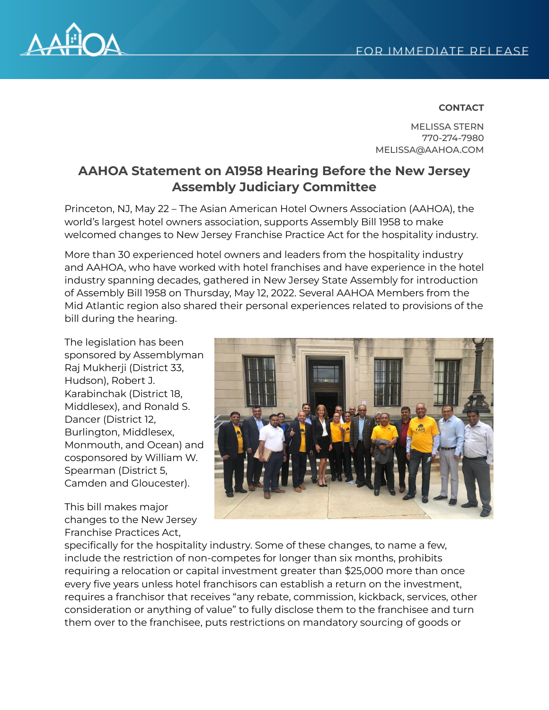

## **CONTACT**

MELISSA STERN 770-274-7980 MELISSA@AAHOA.COM

## **AAHOA Statement on A1958 Hearing Before the New Jersey Assembly Judiciary Committee**

Princeton, NJ, May 22 – The Asian American Hotel Owners Association (AAHOA), the world's largest hotel owners association, supports Assembly Bill 1958 to make welcomed changes to New Jersey Franchise Practice Act for the hospitality industry.

More than 30 experienced hotel owners and leaders from the hospitality industry and AAHOA, who have worked with hotel franchises and have experience in the hotel industry spanning decades, gathered in New Jersey State Assembly for introduction of Assembly Bill 1958 on Thursday, May 12, 2022. Several AAHOA Members from the Mid Atlantic region also shared their personal experiences related to provisions of the bill during the hearing.

The legislation has been sponsored by Assemblyman Raj Mukherji (District 33, Hudson), Robert J. Karabinchak (District 18, Middlesex), and Ronald S. Dancer (District 12, Burlington, Middlesex, Monmouth, and Ocean) and cosponsored by William W. Spearman (District 5, Camden and Gloucester).

This bill makes major changes to the New Jersey Franchise Practices Act,



specifically for the hospitality industry. Some of these changes, to name a few, include the restriction of non-competes for longer than six months, prohibits requiring a relocation or capital investment greater than \$25,000 more than once every five years unless hotel franchisors can establish a return on the investment, requires a franchisor that receives "any rebate, commission, kickback, services, other consideration or anything of value" to fully disclose them to the franchisee and turn them over to the franchisee, puts restrictions on mandatory sourcing of goods or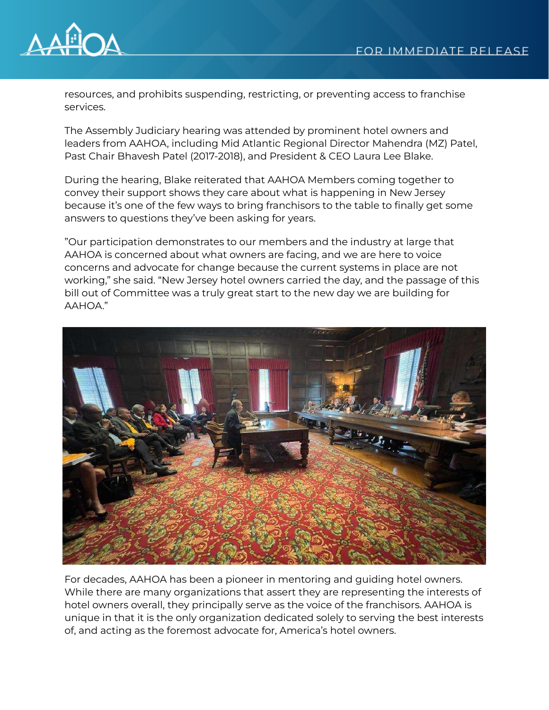

resources, and prohibits suspending, restricting, or preventing access to franchise services.

The Assembly Judiciary hearing was attended by prominent hotel owners and leaders from AAHOA, including Mid Atlantic Regional Director Mahendra (MZ) Patel, Past Chair Bhavesh Patel (2017-2018), and President & CEO Laura Lee Blake.

During the hearing, Blake reiterated that AAHOA Members coming together to convey their support shows they care about what is happening in New Jersey because it's one of the few ways to bring franchisors to the table to finally get some answers to questions they've been asking for years.

"Our participation demonstrates to our members and the industry at large that AAHOA is concerned about what owners are facing, and we are here to voice concerns and advocate for change because the current systems in place are not working," she said. "New Jersey hotel owners carried the day, and the passage of this bill out of Committee was a truly great start to the new day we are building for AAHOA."



For decades, AAHOA has been a pioneer in mentoring and guiding hotel owners. While there are many organizations that assert they are representing the interests of hotel owners overall, they principally serve as the voice of the franchisors. AAHOA is unique in that it is the only organization dedicated solely to serving the best interests of, and acting as the foremost advocate for, America's hotel owners.